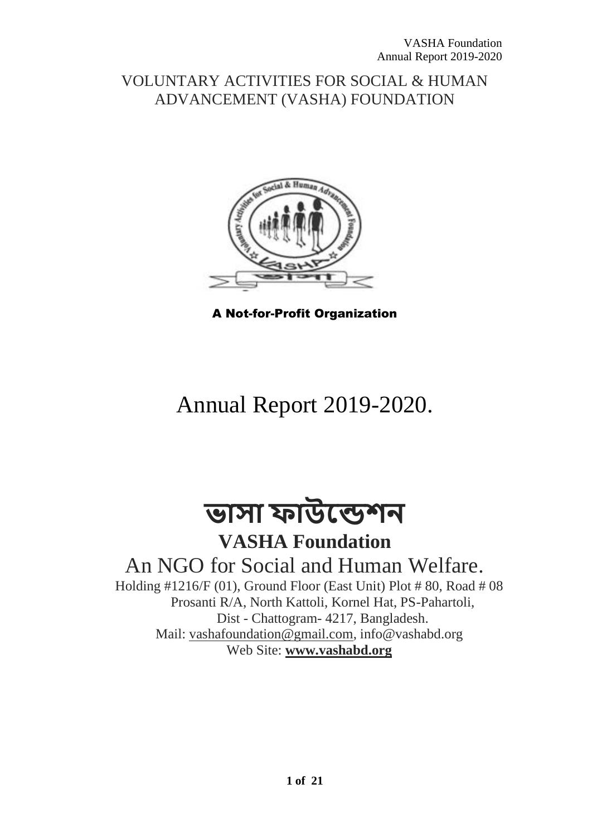# VOLUNTARY ACTIVITIES FOR SOCIAL & HUMAN ADVANCEMENT (VASHA) FOUNDATION



A Not-for-Profit Organization

# Annual Report 2019-2020.

**ভাসা ফাউন্ডেশন**

**VASHA Foundation** An NGO for Social and Human Welfare.

Holding #1216/F (01), Ground Floor (East Unit) Plot # 80, Road # 08 Prosanti R/A, North Kattoli, Kornel Hat, PS-Pahartoli, Dist - Chattogram- 4217, Bangladesh. Mail: [vashafoundation@gmail.com,](mailto:vashafoundation@gmail.com) info@vashabd.org Web Site: **[www.vashabd.org](http://www.vashabd.org/)**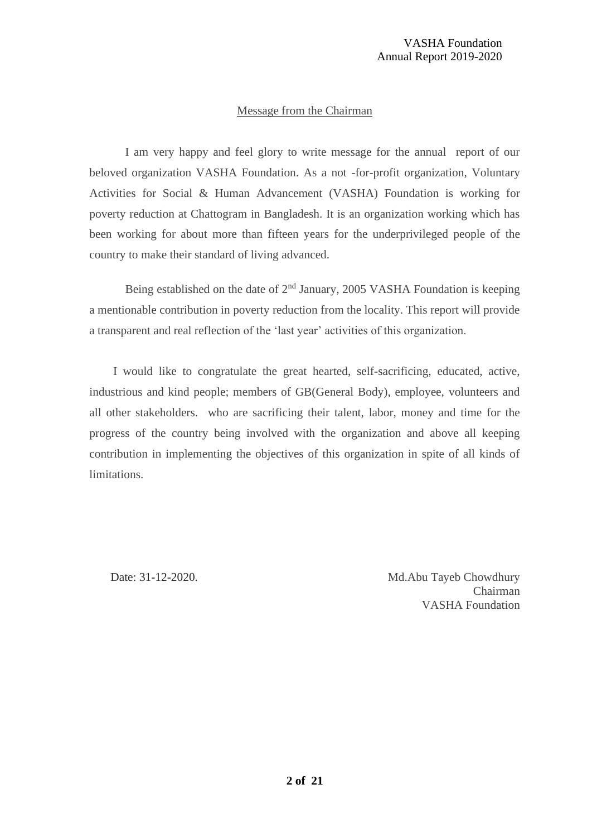#### Message from the Chairman

I am very happy and feel glory to write message for the annual report of our beloved organization VASHA Foundation. As a not -for-profit organization, Voluntary Activities for Social & Human Advancement (VASHA) Foundation is working for poverty reduction at Chattogram in Bangladesh. It is an organization working which has been working for about more than fifteen years for the underprivileged people of the country to make their standard of living advanced.

Being established on the date of  $2<sup>nd</sup>$  January, 2005 VASHA Foundation is keeping a mentionable contribution in poverty reduction from the locality. This report will provide a transparent and real reflection of the 'last year' activities of this organization.

 I would like to congratulate the great hearted, self-sacrificing, educated, active, industrious and kind people; members of GB(General Body), employee, volunteers and all other stakeholders. who are sacrificing their talent, labor, money and time for the progress of the country being involved with the organization and above all keeping contribution in implementing the objectives of this organization in spite of all kinds of limitations.

Date: 31-12-2020. Md.Abu Tayeb Chowdhury **Chairman** VASHA Foundation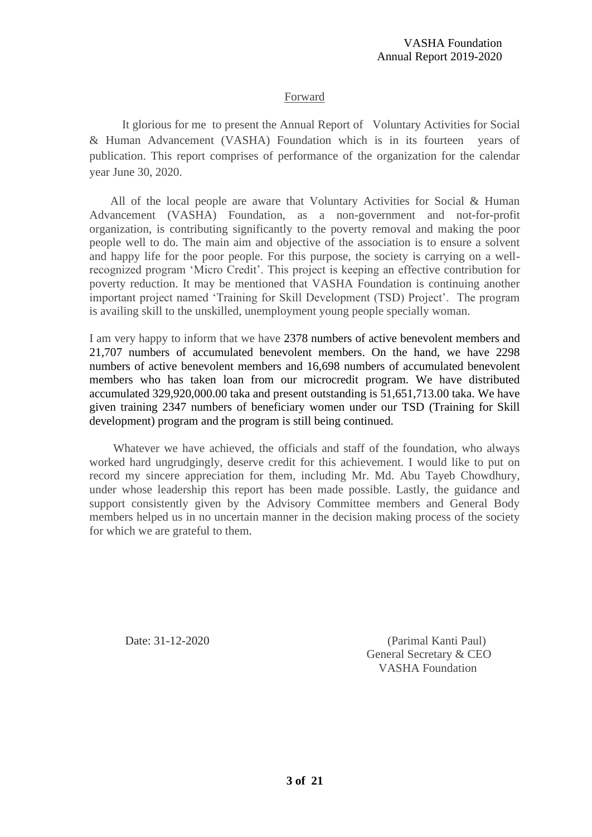#### Forward

 It glorious for me to present the Annual Report of Voluntary Activities for Social & Human Advancement (VASHA) Foundation which is in its fourteen years of publication. This report comprises of performance of the organization for the calendar year June 30, 2020.

 All of the local people are aware that Voluntary Activities for Social & Human Advancement (VASHA) Foundation, as a non-government and not-for-profit organization, is contributing significantly to the poverty removal and making the poor people well to do. The main aim and objective of the association is to ensure a solvent and happy life for the poor people. For this purpose, the society is carrying on a wellrecognized program 'Micro Credit'. This project is keeping an effective contribution for poverty reduction. It may be mentioned that VASHA Foundation is continuing another important project named 'Training for Skill Development (TSD) Project'. The program is availing skill to the unskilled, unemployment young people specially woman.

I am very happy to inform that we have 2378 numbers of active benevolent members and 21,707 numbers of accumulated benevolent members. On the hand, we have 2298 numbers of active benevolent members and 16,698 numbers of accumulated benevolent members who has taken loan from our microcredit program. We have distributed accumulated 329,920,000.00 taka and present outstanding is 51,651,713.00 taka. We have given training 2347 numbers of beneficiary women under our TSD (Training for Skill development) program and the program is still being continued.

 Whatever we have achieved, the officials and staff of the foundation, who always worked hard ungrudgingly, deserve credit for this achievement. I would like to put on record my sincere appreciation for them, including Mr. Md. Abu Tayeb Chowdhury, under whose leadership this report has been made possible. Lastly, the guidance and support consistently given by the Advisory Committee members and General Body members helped us in no uncertain manner in the decision making process of the society for which we are grateful to them.

Date: 31-12-2020 (Parimal Kanti Paul) General Secretary & CEO VASHA Foundation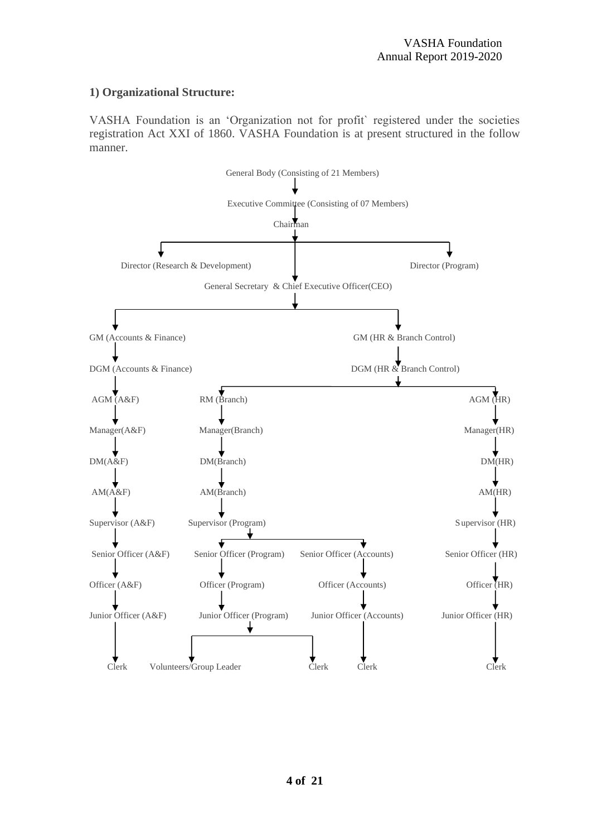#### **1) Organizational Structure:**

VASHA Foundation is an 'Organization not for profit` registered under the societies registration Act XXI of 1860. VASHA Foundation is at present structured in the follow manner.

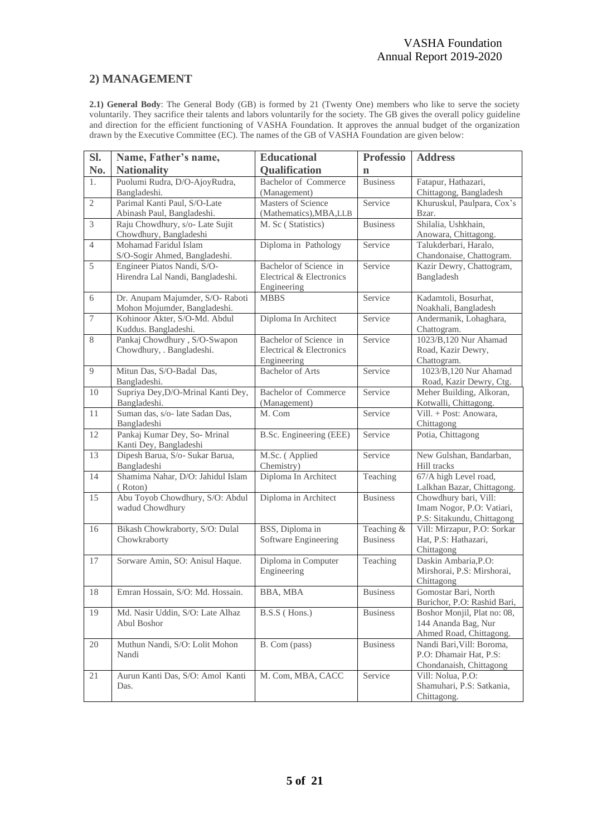# **2) MANAGEMENT**

**2.1) General Body**: The General Body (GB) is formed by 21 (Twenty One) members who like to serve the society voluntarily. They sacrifice their talents and labors voluntarily for the society. The GB gives the overall policy guideline and direction for the efficient functioning of VASHA Foundation. It approves the annual budget of the organization drawn by the Executive Committee (EC). The names of the GB of VASHA Foundation are given below:

| SI.              | Name, Father's name,                                             | <b>Educational</b>                                                | <b>Professio</b>              | <b>Address</b>                                                                   |
|------------------|------------------------------------------------------------------|-------------------------------------------------------------------|-------------------------------|----------------------------------------------------------------------------------|
| No.              | <b>Nationality</b>                                               | Qualification                                                     | $\mathbf n$                   |                                                                                  |
| 1.               | Puolumi Rudra, D/O-AjoyRudra,                                    | Bachelor of Commerce                                              | <b>Business</b>               | Fatapur, Hathazari,                                                              |
|                  | Bangladeshi.                                                     | (Management)                                                      |                               | Chittagong, Bangladesh                                                           |
| $\mathfrak{2}$   | Parimal Kanti Paul, S/O-Late<br>Abinash Paul, Bangladeshi.       | Masters of Science<br>(Mathematics), MBA, LLB                     | Service                       | Khuruskul, Paulpara, Cox's<br>Bzar.                                              |
| 3                | Raju Chowdhury, s/o- Late Sujit<br>Chowdhury, Bangladeshi        | M. Sc (Statistics)                                                | <b>Business</b>               | Shilalia, Ushkhain,<br>Anowara, Chittagong.                                      |
| $\overline{4}$   | Mohamad Faridul Islam<br>S/O-Sogir Ahmed, Bangladeshi.           | Diploma in Pathology                                              | Service                       | Talukderbari, Haralo,<br>Chandonaise, Chattogram.                                |
| 5                | Engineer Piatos Nandi, S/O-<br>Hirendra Lal Nandi, Bangladeshi.  | Bachelor of Science in<br>Electrical & Electronics<br>Engineering | Service                       | Kazir Dewry, Chattogram,<br>Bangladesh                                           |
| $6\,$            | Dr. Anupam Majumder, S/O- Raboti<br>Mohon Mojumder, Bangladeshi. | <b>MBBS</b>                                                       | Service                       | Kadamtoli, Bosurhat,<br>Noakhali, Bangladesh                                     |
| $\boldsymbol{7}$ | Kohinoor Akter, S/O-Md. Abdul<br>Kuddus. Bangladeshi.            | Diploma In Architect                                              | Service                       | Andermanik, Lohaghara,<br>Chattogram.                                            |
| $\overline{8}$   | Pankaj Chowdhury, S/O-Swapon<br>Chowdhury, . Bangladeshi.        | Bachelor of Science in<br>Electrical & Electronics<br>Engineering | Service                       | 1023/B,120 Nur Ahamad<br>Road, Kazir Dewry,<br>Chattogram.                       |
| 9                | Mitun Das, S/O-Badal Das,<br>Bangladeshi.                        | <b>Bachelor of Arts</b>                                           | Service                       | 1023/B,120 Nur Ahamad<br>Road, Kazir Dewry, Ctg.                                 |
| 10               | Supriya Dey, D/O-Mrinal Kanti Dey,<br>Bangladeshi.               | <b>Bachelor of Commerce</b><br>(Management)                       | Service                       | Meher Building, Alkoran,<br>Kotwalli, Chittagong.                                |
| 11               | Suman das, s/o- late Sadan Das,<br>Bangladeshi                   | M. Com                                                            | Service                       | Vill. + Post: Anowara.<br>Chittagong                                             |
| 12               | Pankaj Kumar Dey, So- Mrinal<br>Kanti Dey, Bangladeshi           | B.Sc. Engineering (EEE)                                           | Service                       | Potia, Chittagong                                                                |
| 13               | Dipesh Barua, S/o- Sukar Barua,<br>Bangladeshi                   | M.Sc. (Applied<br>Chemistry)                                      | Service                       | New Gulshan, Bandarban,<br>Hill tracks                                           |
| 14               | Shamima Nahar, D/O: Jahidul Islam<br>(Roton)                     | Diploma In Architect                                              | Teaching                      | 67/A high Level road,<br>Lalkhan Bazar, Chittagong.                              |
| 15               | Abu Toyob Chowdhury, S/O: Abdul<br>wadud Chowdhury               | Diploma in Architect                                              | <b>Business</b>               | Chowdhury bari, Vill:<br>Imam Nogor, P.O: Vatiari,<br>P.S: Sitakundu, Chittagong |
| 16               | Bikash Chowkraborty, S/O: Dulal<br>Chowkraborty                  | BSS, Diploma in<br>Software Engineering                           | Teaching &<br><b>Business</b> | Vill: Mirzapur, P.O: Sorkar<br>Hat, P.S: Hathazari,<br>Chittagong                |
| 17               | Sorware Amin, SO: Anisul Haque.                                  | Diploma in Computer<br>Engineering                                | Teaching                      | Daskin Ambaria, P.O:<br>Mirshorai, P.S: Mirshorai,<br>Chittagong                 |
| 18               | Emran Hossain, S/O: Md. Hossain.                                 | BBA, MBA                                                          | <b>Business</b>               | Gomostar Bari, North<br>Burichor, P.O: Rashid Bari,                              |
| 19               | Md. Nasir Uddin, S/O: Late Alhaz<br>Abul Boshor                  | B.S.S (Hons.)                                                     | <b>Business</b>               | Boshor Monjil, Plat no: 08,<br>144 Ananda Bag, Nur<br>Ahmed Road, Chittagong.    |
| 20               | Muthun Nandi, S/O: Lolit Mohon<br>Nandi                          | B. Com (pass)                                                     | <b>Business</b>               | Nandi Bari, Vill: Boroma,<br>P.O: Dhamair Hat, P.S:<br>Chondanaish, Chittagong   |
| 21               | Aurun Kanti Das, S/O: Amol Kanti<br>Das.                         | M. Com, MBA, CACC                                                 | Service                       | Vill: Nolua, P.O:<br>Shamuhari, P.S: Satkania,<br>Chittagong.                    |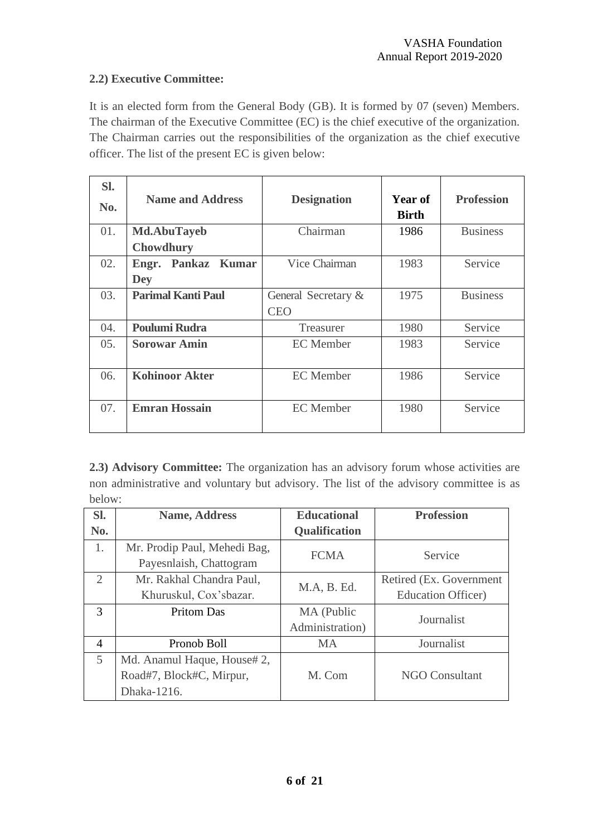# **2.2) Executive Committee:**

It is an elected form from the General Body (GB). It is formed by 07 (seven) Members. The chairman of the Executive Committee (EC) is the chief executive of the organization. The Chairman carries out the responsibilities of the organization as the chief executive officer. The list of the present EC is given below:

| SI.<br>No. | <b>Name and Address</b>   | <b>Designation</b>  | Year of<br><b>Birth</b> | <b>Profession</b> |
|------------|---------------------------|---------------------|-------------------------|-------------------|
| 01.        | <b>Md.AbuTayeb</b>        | Chairman            | 1986                    | <b>Business</b>   |
|            | <b>Chowdhury</b>          |                     |                         |                   |
| 02.        | Engr. Pankaz Kumar        | Vice Chairman       | 1983                    | Service           |
|            | <b>Dey</b>                |                     |                         |                   |
| 03.        | <b>Parimal Kanti Paul</b> | General Secretary & | 1975                    | <b>Business</b>   |
|            |                           | <b>CEO</b>          |                         |                   |
| 04.        | <b>Poulumi Rudra</b>      | Treasurer           | 1980                    | Service           |
| 05.        | <b>Sorowar Amin</b>       | <b>EC</b> Member    | 1983                    | Service           |
|            |                           |                     |                         |                   |
| 06.        | <b>Kohinoor Akter</b>     | <b>EC</b> Member    | 1986                    | Service           |
| 07.        | <b>Emran Hossain</b>      | <b>EC</b> Member    | 1980                    | Service           |

**2.3) Advisory Committee:** The organization has an advisory forum whose activities are non administrative and voluntary but advisory. The list of the advisory committee is as below:

| Sl.                         | <b>Name, Address</b>         | <b>Educational</b>   | <b>Profession</b>          |
|-----------------------------|------------------------------|----------------------|----------------------------|
| No.                         |                              | <b>Qualification</b> |                            |
| 1.                          | Mr. Prodip Paul, Mehedi Bag, | <b>FCMA</b>          | Service                    |
|                             | Payesnlaish, Chattogram      |                      |                            |
| $\mathcal{D}_{\mathcal{L}}$ | Mr. Rakhal Chandra Paul,     | M.A, B. Ed.          | Retired (Ex. Government)   |
|                             | Khuruskul, Cox'sbazar.       |                      | <b>Education Officer</b> ) |
| 3                           | <b>Pritom Das</b>            | MA (Public           | Journalist                 |
|                             |                              | Administration)      |                            |
| $\overline{4}$              | Pronob Boll                  | <b>MA</b>            | Journalist                 |
| 5                           | Md. Anamul Haque, House# 2,  |                      |                            |
|                             | Road#7, Block#C, Mirpur,     | M. Com               | <b>NGO Consultant</b>      |
|                             | Dhaka-1216.                  |                      |                            |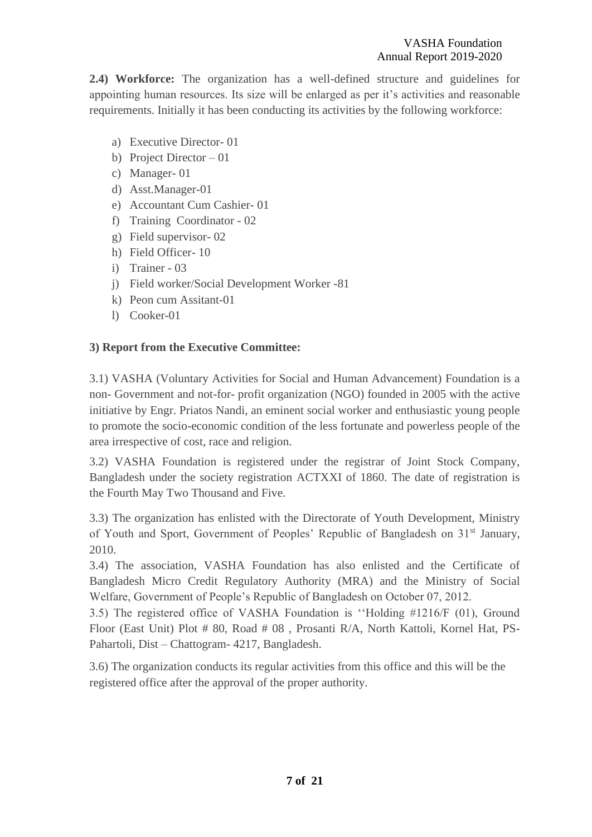**2.4) Workforce:** The organization has a well-defined structure and guidelines for appointing human resources. Its size will be enlarged as per it's activities and reasonable requirements. Initially it has been conducting its activities by the following workforce:

- a) Executive Director- 01
- b) Project Director 01
- c) Manager- 01
- d) Asst.Manager-01
- e) Accountant Cum Cashier- 01
- f) Training Coordinator 02
- g) Field supervisor- 02
- h) Field Officer- 10
- i) Trainer 03
- j) Field worker/Social Development Worker -81
- k) Peon cum Assitant-01
- l) Cooker-01

#### **3) Report from the Executive Committee:**

3.1) VASHA (Voluntary Activities for Social and Human Advancement) Foundation is a non- Government and not-for- profit organization (NGO) founded in 2005 with the active initiative by Engr. Priatos Nandi, an eminent social worker and enthusiastic young people to promote the socio-economic condition of the less fortunate and powerless people of the area irrespective of cost, race and religion.

3.2) VASHA Foundation is registered under the registrar of Joint Stock Company, Bangladesh under the society registration ACTXXI of 1860. The date of registration is the Fourth May Two Thousand and Five.

3.3) The organization has enlisted with the Directorate of Youth Development, Ministry of Youth and Sport, Government of Peoples' Republic of Bangladesh on 31st January, 2010.

3.4) The association, VASHA Foundation has also enlisted and the Certificate of Bangladesh Micro Credit Regulatory Authority (MRA) and the Ministry of Social Welfare, Government of People's Republic of Bangladesh on October 07, 2012.

3.5) The registered office of VASHA Foundation is ''Holding #1216/F (01), Ground Floor (East Unit) Plot # 80, Road # 08 , Prosanti R/A, North Kattoli, Kornel Hat, PS-Pahartoli, Dist – Chattogram- 4217, Bangladesh.

3.6) The organization conducts its regular activities from this office and this will be the registered office after the approval of the proper authority.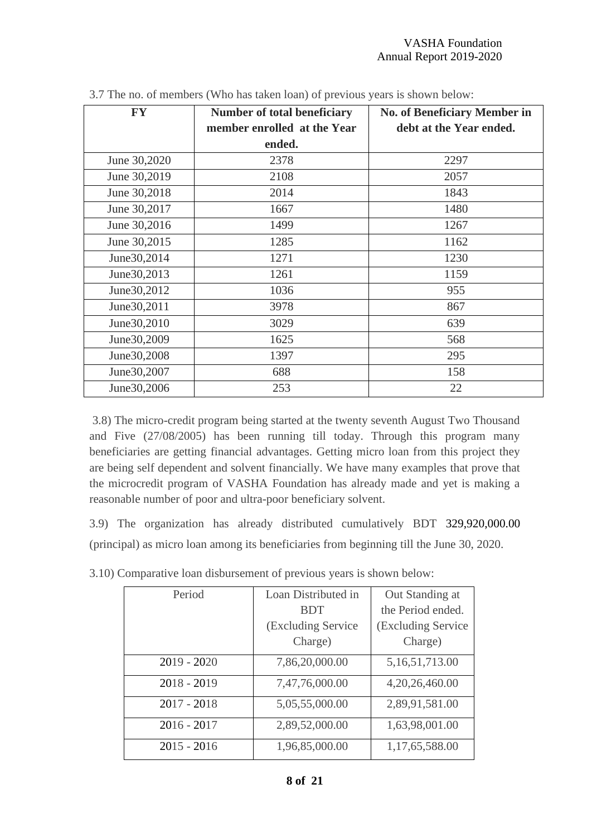| <b>FY</b>     | <b>Number of total beneficiary</b><br>member enrolled at the Year | <b>No. of Beneficiary Member in</b><br>debt at the Year ended. |
|---------------|-------------------------------------------------------------------|----------------------------------------------------------------|
|               | ended.                                                            |                                                                |
| June 30,2020  | 2378                                                              | 2297                                                           |
| June 30,2019  | 2108                                                              | 2057                                                           |
| June 30,2018  | 2014                                                              | 1843                                                           |
| June 30,2017  | 1667                                                              | 1480                                                           |
| June 30,2016  | 1499                                                              | 1267                                                           |
| June 30,2015  | 1285                                                              | 1162                                                           |
| June 30, 2014 | 1271                                                              | 1230                                                           |
| June 30, 2013 | 1261                                                              | 1159                                                           |
| June 30, 2012 | 1036                                                              | 955                                                            |
| June 30, 2011 | 3978                                                              | 867                                                            |
| June 30, 2010 | 3029                                                              | 639                                                            |
| June 30, 2009 | 1625                                                              | 568                                                            |
| June 30, 2008 | 1397                                                              | 295                                                            |
| June 30, 2007 | 688                                                               | 158                                                            |
| June30,2006   | 253                                                               | 22                                                             |

| 3.7 The no. of members (Who has taken loan) of previous years is shown below: |
|-------------------------------------------------------------------------------|
|-------------------------------------------------------------------------------|

3.8) The micro-credit program being started at the twenty seventh August Two Thousand and Five (27/08/2005) has been running till today. Through this program many beneficiaries are getting financial advantages. Getting micro loan from this project they are being self dependent and solvent financially. We have many examples that prove that the microcredit program of VASHA Foundation has already made and yet is making a reasonable number of poor and ultra-poor beneficiary solvent.

3.9) The organization has already distributed cumulatively BDT 329,920,000.00 (principal) as micro loan among its beneficiaries from beginning till the June 30, 2020.

| Period        | Loan Distributed in | Out Standing at    |
|---------------|---------------------|--------------------|
|               | <b>BDT</b>          | the Period ended.  |
|               | (Excluding Service  | (Excluding Service |
|               | Charge)             | Charge)            |
| $2019 - 2020$ | 7,86,20,000.00      | 5, 16, 51, 713.00  |
| $2018 - 2019$ | 7,47,76,000.00      | 4,20,26,460.00     |
| $2017 - 2018$ | 5,05,55,000.00      | 2,89,91,581.00     |
| $2016 - 2017$ | 2,89,52,000.00      | 1,63,98,001.00     |
| $2015 - 2016$ | 1,96,85,000.00      | 1,17,65,588.00     |

3.10) Comparative loan disbursement of previous years is shown below: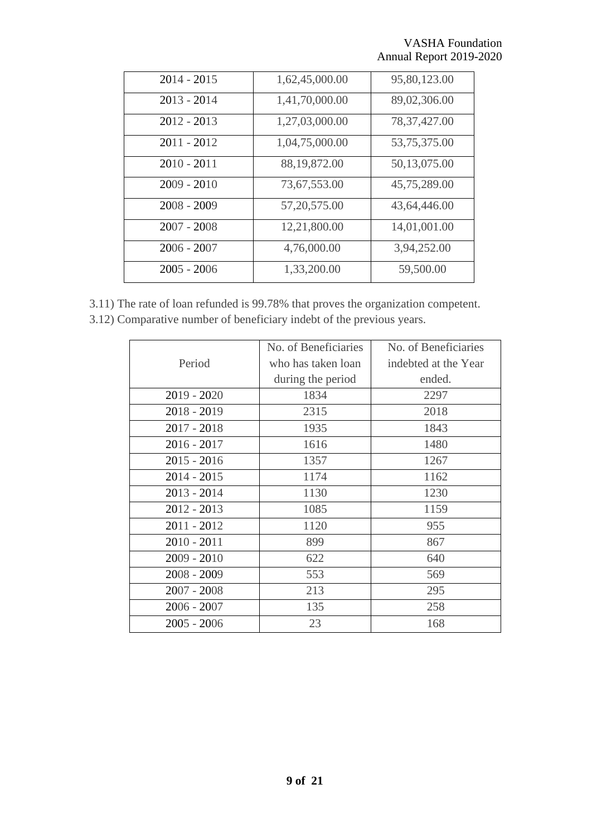| $2014 - 2015$ | 1,62,45,000.00 | 95,80,123.00   |
|---------------|----------------|----------------|
| $2013 - 2014$ | 1,41,70,000.00 | 89,02,306.00   |
| $2012 - 2013$ | 1,27,03,000.00 | 78, 37, 427.00 |
| $2011 - 2012$ | 1,04,75,000.00 | 53,75,375.00   |
| $2010 - 2011$ | 88,19,872.00   | 50,13,075.00   |
| $2009 - 2010$ | 73,67,553.00   | 45,75,289.00   |
| $2008 - 2009$ | 57, 20, 575.00 | 43,64,446.00   |
| $2007 - 2008$ | 12,21,800.00   | 14,01,001.00   |
| $2006 - 2007$ | 4,76,000.00    | 3,94,252.00    |
| $2005 - 2006$ | 1,33,200.00    | 59,500.00      |

3.11) The rate of loan refunded is 99.78% that proves the organization competent. 3.12) Comparative number of beneficiary indebt of the previous years.

|               | No. of Beneficiaries | No. of Beneficiaries |
|---------------|----------------------|----------------------|
| Period        | who has taken loan   | indebted at the Year |
|               | during the period    | ended.               |
| $2019 - 2020$ | 1834                 | 2297                 |
| $2018 - 2019$ | 2315                 | 2018                 |
| $2017 - 2018$ | 1935                 | 1843                 |
| $2016 - 2017$ | 1616                 | 1480                 |
| $2015 - 2016$ | 1357                 | 1267                 |
| $2014 - 2015$ | 1174                 | 1162                 |
| $2013 - 2014$ | 1130                 | 1230                 |
| $2012 - 2013$ | 1085                 | 1159                 |
| $2011 - 2012$ | 1120                 | 955                  |
| $2010 - 2011$ | 899                  | 867                  |
| $2009 - 2010$ | 622                  | 640                  |
| $2008 - 2009$ | 553                  | 569                  |
| $2007 - 2008$ | 213                  | 295                  |
| $2006 - 2007$ | 135                  | 258                  |
| $2005 - 2006$ | 23                   | 168                  |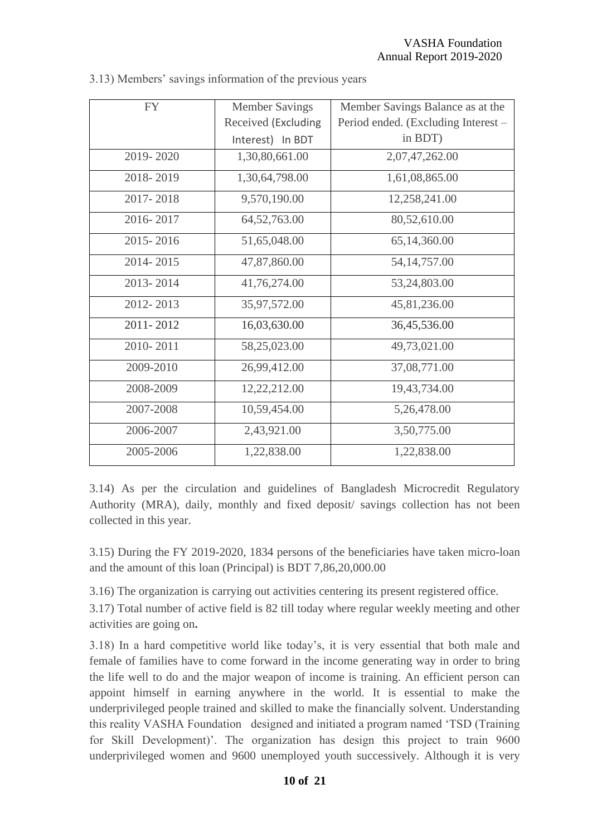| <b>FY</b> | <b>Member Savings</b> | Member Savings Balance as at the    |
|-----------|-----------------------|-------------------------------------|
|           | Received (Excluding   | Period ended. (Excluding Interest – |
|           | Interest) In BDT      | in BDT)                             |
| 2019-2020 | 1,30,80,661.00        | 2,07,47,262.00                      |
| 2018-2019 | 1,30,64,798.00        | 1,61,08,865.00                      |
| 2017-2018 | 9,570,190.00          | 12,258,241.00                       |
| 2016-2017 | 64, 52, 763.00        | 80,52,610.00                        |
| 2015-2016 | 51,65,048.00          | 65,14,360.00                        |
| 2014-2015 | 47,87,860.00          | 54, 14, 757.00                      |
| 2013-2014 | 41,76,274.00          | 53,24,803.00                        |
| 2012-2013 | 35,97,572.00          | 45,81,236.00                        |
| 2011-2012 | 16,03,630.00          | 36,45,536.00                        |
| 2010-2011 | 58,25,023.00          | 49,73,021.00                        |
| 2009-2010 | 26,99,412.00          | 37,08,771.00                        |
| 2008-2009 | 12,22,212.00          | 19,43,734.00                        |
| 2007-2008 | 10,59,454.00          | 5,26,478.00                         |
| 2006-2007 | 2,43,921.00           | 3,50,775.00                         |
| 2005-2006 | 1,22,838.00           | 1,22,838.00                         |

|  |  | 3.13) Members' savings information of the previous years |  |
|--|--|----------------------------------------------------------|--|
|  |  |                                                          |  |
|  |  |                                                          |  |

3.14) As per the circulation and guidelines of Bangladesh Microcredit Regulatory Authority (MRA), daily, monthly and fixed deposit/ savings collection has not been collected in this year.

3.15) During the FY 2019-2020, 1834 persons of the beneficiaries have taken micro-loan and the amount of this loan (Principal) is BDT 7,86,20,000.00

3.16) The organization is carrying out activities centering its present registered office.

3.17) Total number of active field is 82 till today where regular weekly meeting and other activities are going on**.**

3.18) In a hard competitive world like today's, it is very essential that both male and female of families have to come forward in the income generating way in order to bring the life well to do and the major weapon of income is training. An efficient person can appoint himself in earning anywhere in the world. It is essential to make the underprivileged people trained and skilled to make the financially solvent. Understanding this reality VASHA Foundation designed and initiated a program named 'TSD (Training for Skill Development)'. The organization has design this project to train 9600 underprivileged women and 9600 unemployed youth successively. Although it is very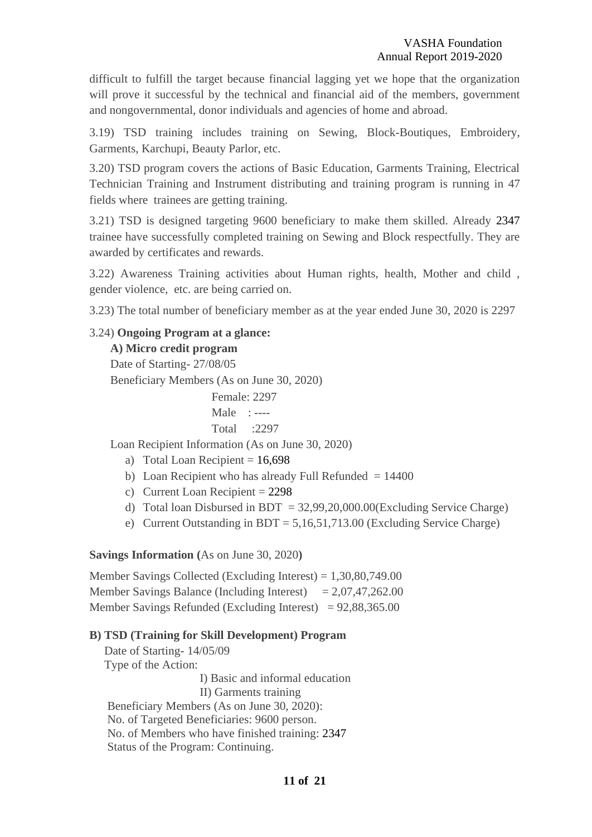difficult to fulfill the target because financial lagging yet we hope that the organization will prove it successful by the technical and financial aid of the members, government and nongovernmental, donor individuals and agencies of home and abroad.

3.19) TSD training includes training on Sewing, Block-Boutiques, Embroidery, Garments, Karchupi, Beauty Parlor, etc.

3.20) TSD program covers the actions of Basic Education, Garments Training, Electrical Technician Training and Instrument distributing and training program is running in 47 fields where trainees are getting training.

3.21) TSD is designed targeting 9600 beneficiary to make them skilled. Already 2347 trainee have successfully completed training on Sewing and Block respectfully. They are awarded by certificates and rewards. Ì

3.22) Awareness Training activities about Human rights, health, Mother and child , gender violence, etc. are being carried on.

3.23) The total number of beneficiary member as at the year ended June 30, 2020 is 2297

#### 3.24) **Ongoing Program at a glance:**

#### **A) Micro credit program**

 Date of Starting- 27/08/05 Beneficiary Members (As on June 30, 2020)

> Female: 2297 Male : ---- Total :2297

Loan Recipient Information (As on June 30, 2020)

- a) Total Loan Recipient  $= 16,698$
- b) Loan Recipient who has already Full Refunded  $= 14400$
- c) Current Loan Recipient = 2298
- d) Total loan Disbursed in BDT =  $32,99,20,000.00$  (Excluding Service Charge)
- e) Current Outstanding in BDT = 5,16,51,713.00 (Excluding Service Charge)

#### **Savings Information (**As on June 30, 2020**)**

Member Savings Collected (Excluding Interest) = 1,30,80,749.00 Member Savings Balance (Including Interest)  $= 2,07,47,262.00$ Member Savings Refunded (Excluding Interest) =  $92,88,365.00$ 

#### **B) TSD (Training for Skill Development) Program**

 Date of Starting- 14/05/09 Type of the Action: I) Basic and informal education II) Garments training Beneficiary Members (As on June 30, 2020): No. of Targeted Beneficiaries: 9600 person. No. of Members who have finished training: 2347 Status of the Program: Continuing.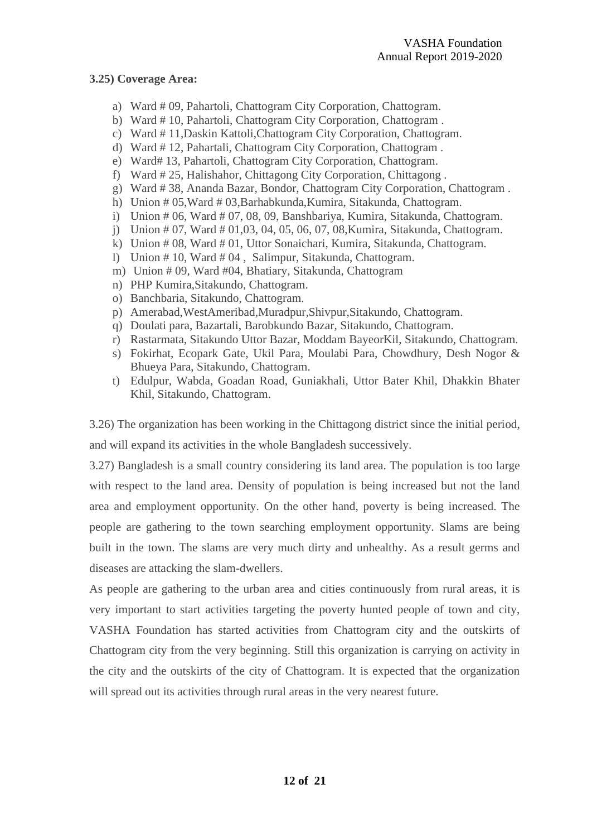#### **3.25) Coverage Area:**

- a) Ward # 09, Pahartoli, Chattogram City Corporation, Chattogram.
- b) Ward # 10, Pahartoli, Chattogram City Corporation, Chattogram .
- c) Ward # 11,Daskin Kattoli,Chattogram City Corporation, Chattogram.
- d) Ward # 12, Pahartali, Chattogram City Corporation, Chattogram .
- e) Ward# 13, Pahartoli, Chattogram City Corporation, Chattogram.
- f) Ward # 25, Halishahor, Chittagong City Corporation, Chittagong .
- g) Ward # 38, Ananda Bazar, Bondor, Chattogram City Corporation, Chattogram .
- h) Union # 05, Ward # 03, Barhabkunda, Kumira, Sitakunda, Chattogram.
- i) Union # 06, Ward # 07, 08, 09, Banshbariya, Kumira, Sitakunda, Chattogram.
- j) Union # 07, Ward # 01,03, 04, 05, 06, 07, 08,Kumira, Sitakunda, Chattogram.
- k) Union # 08, Ward # 01, Uttor Sonaichari, Kumira, Sitakunda, Chattogram.
- l) Union # 10, Ward # 04 , Salimpur, Sitakunda, Chattogram.
- m) Union # 09, Ward #04, Bhatiary, Sitakunda, Chattogram
- n) PHP Kumira,Sitakundo, Chattogram.
- o) Banchbaria, Sitakundo, Chattogram.
- p) Amerabad,WestAmeribad,Muradpur,Shivpur,Sitakundo, Chattogram.
- q) Doulati para, Bazartali, Barobkundo Bazar, Sitakundo, Chattogram.
- r) Rastarmata, Sitakundo Uttor Bazar, Moddam BayeorKil, Sitakundo, Chattogram.
- s) Fokirhat, Ecopark Gate, Ukil Para, Moulabi Para, Chowdhury, Desh Nogor & Bhueya Para, Sitakundo, Chattogram.
- t) Edulpur, Wabda, Goadan Road, Guniakhali, Uttor Bater Khil, Dhakkin Bhater Khil, Sitakundo, Chattogram.

3.26) The organization has been working in the Chittagong district since the initial period, and will expand its activities in the whole Bangladesh successively.

3.27) Bangladesh is a small country considering its land area. The population is too large with respect to the land area. Density of population is being increased but not the land area and employment opportunity. On the other hand, poverty is being increased. The people are gathering to the town searching employment opportunity. Slams are being built in the town. The slams are very much dirty and unhealthy. As a result germs and diseases are attacking the slam-dwellers.

As people are gathering to the urban area and cities continuously from rural areas, it is very important to start activities targeting the poverty hunted people of town and city, VASHA Foundation has started activities from Chattogram city and the outskirts of Chattogram city from the very beginning. Still this organization is carrying on activity in the city and the outskirts of the city of Chattogram. It is expected that the organization will spread out its activities through rural areas in the very nearest future.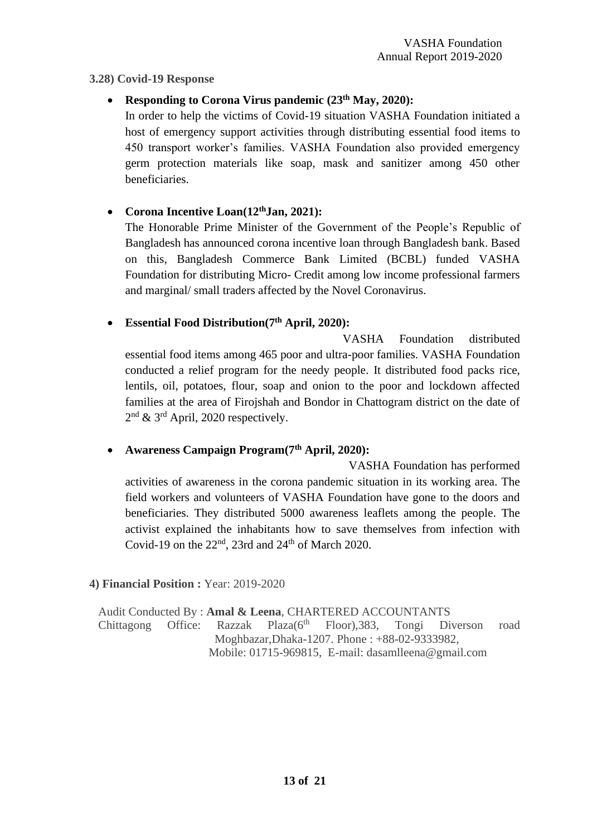#### **3.28) Covid-19 Response**

# • **Responding to Corona Virus pandemic (23th May, 2020):**

In order to help the victims of Covid-19 situation VASHA Foundation initiated a host of emergency support activities through distributing essential food items to 450 transport worker's families. VASHA Foundation also provided emergency germ protection materials like soap, mask and sanitizer among 450 other beneficiaries.

# • **Corona Incentive Loan(12thJan, 2021):**

The Honorable Prime Minister of the Government of the People's Republic of Bangladesh has announced corona incentive loan through Bangladesh bank. Based on this, Bangladesh Commerce Bank Limited (BCBL) funded VASHA Foundation for distributing Micro- Credit among low income professional farmers and marginal/ small traders affected by the Novel Coronavirus.

# • **Essential Food Distribution(7th April, 2020):**

 VASHA Foundation distributed essential food items among 465 poor and ultra-poor families. VASHA Foundation conducted a relief program for the needy people. It distributed food packs rice, lentils, oil, potatoes, flour, soap and onion to the poor and lockdown affected families at the area of Firojshah and Bondor in Chattogram district on the date of 2<sup>nd</sup> & 3<sup>rd</sup> April, 2020 respectively.

# • **Awareness Campaign Program(7th April, 2020):**

VASHA Foundation has performed activities of awareness in the corona pandemic situation in its working area. The field workers and volunteers of VASHA Foundation have gone to the doors and beneficiaries. They distributed 5000 awareness leaflets among the people. The activist explained the inhabitants how to save themselves from infection with Covid-19 on the  $22<sup>nd</sup>$ , 23rd and  $24<sup>th</sup>$  of March 2020.

#### **4) Financial Position :** Year: 2019-2020

 Audit Conducted By : **Amal & Leena**, CHARTERED ACCOUNTANTS Chittagong Office: Razzak Plaza $(6<sup>th</sup>$  Floor), 383, Tongi Diverson road Moghbazar,Dhaka-1207. Phone : +88-02-9333982, Mobile: 01715-969815, E-mail: dasamlleena@gmail.com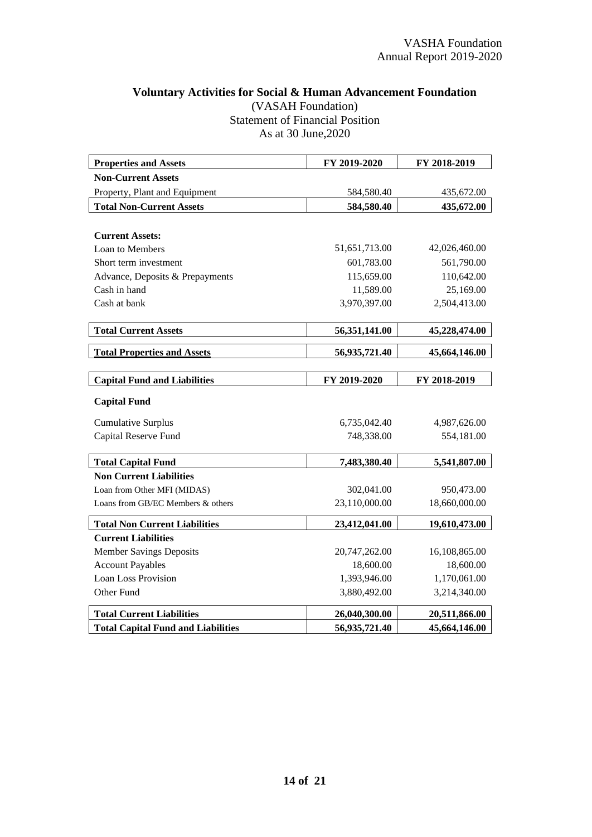## **Voluntary Activities for Social & Human Advancement Foundation** (VASAH Foundation) Statement of Financial Position As at 30 June,2020

| <b>Properties and Assets</b>                      | FY 2019-2020  | FY 2018-2019  |
|---------------------------------------------------|---------------|---------------|
| <b>Non-Current Assets</b>                         |               |               |
| Property, Plant and Equipment                     | 584,580.40    | 435,672.00    |
| <b>Total Non-Current Assets</b>                   | 584,580.40    | 435,672.00    |
|                                                   |               |               |
| <b>Current Assets:</b>                            |               |               |
| Loan to Members                                   | 51,651,713.00 | 42,026,460.00 |
| Short term investment                             | 601,783.00    | 561,790.00    |
| Advance, Deposits & Prepayments                   | 115,659.00    | 110,642.00    |
| Cash in hand                                      | 11,589.00     | 25,169.00     |
| Cash at bank                                      | 3,970,397.00  | 2,504,413.00  |
|                                                   |               |               |
| <b>Total Current Assets</b>                       | 56,351,141.00 | 45,228,474.00 |
| <b>Total Properties and Assets</b>                | 56,935,721.40 | 45,664,146.00 |
|                                                   |               |               |
| <b>Capital Fund and Liabilities</b>               | FY 2019-2020  | FY 2018-2019  |
| <b>Capital Fund</b>                               |               |               |
|                                                   |               |               |
|                                                   | 6,735,042.40  | 4,987,626.00  |
| <b>Cumulative Surplus</b><br>Capital Reserve Fund | 748,338.00    | 554,181.00    |
|                                                   |               |               |
| <b>Total Capital Fund</b>                         | 7,483,380.40  | 5,541,807.00  |
| <b>Non Current Liabilities</b>                    |               |               |
| Loan from Other MFI (MIDAS)                       | 302,041.00    | 950,473.00    |
| Loans from GB/EC Members & others                 | 23,110,000.00 | 18,660,000.00 |
| <b>Total Non Current Liabilities</b>              | 23,412,041.00 | 19,610,473.00 |
| <b>Current Liabilities</b>                        |               |               |
| <b>Member Savings Deposits</b>                    | 20,747,262.00 | 16,108,865.00 |
| <b>Account Payables</b>                           | 18,600.00     | 18,600.00     |
| <b>Loan Loss Provision</b>                        | 1,393,946.00  | 1,170,061.00  |
| Other Fund                                        | 3,880,492.00  | 3,214,340.00  |
| <b>Total Current Liabilities</b>                  | 26,040,300.00 | 20,511,866.00 |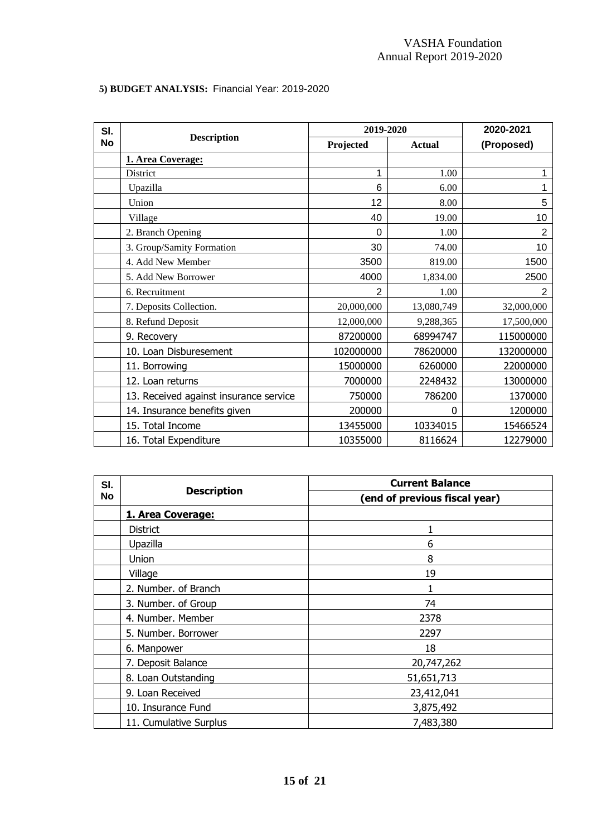# **5) BUDGET ANALYSIS:** Financial Year: 2019-2020

| SI.       |                                        | 2019-2020  |               | 2020-2021  |
|-----------|----------------------------------------|------------|---------------|------------|
| <b>No</b> | <b>Description</b>                     | Projected  | <b>Actual</b> | (Proposed) |
|           | 1. Area Coverage:                      |            |               |            |
|           | <b>District</b>                        | 1          | 1.00          |            |
|           | Upazilla                               | 6          | 6.00          |            |
|           | Union                                  | 12         | 8.00          | 5          |
|           | Village                                | 40         | 19.00         | 10         |
|           | 2. Branch Opening                      | 0          | 1.00          | 2          |
|           | 3. Group/Samity Formation              | 30         | 74.00         | 10         |
|           | 4. Add New Member                      | 3500       | 819.00        | 1500       |
|           | 5. Add New Borrower                    | 4000       | 1,834.00      | 2500       |
|           | 6. Recruitment                         | 2          | 1.00          | 2          |
|           | 7. Deposits Collection.                | 20,000,000 | 13,080,749    | 32,000,000 |
|           | 8. Refund Deposit                      | 12,000,000 | 9,288,365     | 17,500,000 |
|           | 9. Recovery                            | 87200000   | 68994747      | 115000000  |
|           | 10. Loan Disburesement                 | 102000000  | 78620000      | 132000000  |
|           | 11. Borrowing                          | 15000000   | 6260000       | 22000000   |
|           | 12. Loan returns                       | 7000000    | 2248432       | 13000000   |
|           | 13. Received against insurance service | 750000     | 786200        | 1370000    |
|           | 14. Insurance benefits given           | 200000     | 0             | 1200000    |
|           | 15. Total Income                       | 13455000   | 10334015      | 15466524   |
|           | 16. Total Expenditure                  | 10355000   | 8116624       | 12279000   |

| SI.       | <b>Description</b>                  | <b>Current Balance</b>        |  |  |
|-----------|-------------------------------------|-------------------------------|--|--|
| <b>No</b> |                                     | (end of previous fiscal year) |  |  |
|           | 1. Area Coverage:                   |                               |  |  |
|           | <b>District</b>                     | $\mathbf{1}$                  |  |  |
|           | Upazilla                            | 6                             |  |  |
|           | Union                               | 8                             |  |  |
|           | Village                             | 19                            |  |  |
|           | 2. Number. of Branch                |                               |  |  |
|           | 3. Number. of Group                 | 74                            |  |  |
|           | 4. Number. Member                   | 2378                          |  |  |
|           | 5. Number. Borrower                 | 2297                          |  |  |
|           | 18<br>6. Manpower                   |                               |  |  |
|           | 7. Deposit Balance                  | 20,747,262                    |  |  |
|           | 8. Loan Outstanding                 | 51,651,713                    |  |  |
|           | 9. Loan Received                    | 23,412,041                    |  |  |
|           | 10. Insurance Fund                  | 3,875,492                     |  |  |
|           | 7,483,380<br>11. Cumulative Surplus |                               |  |  |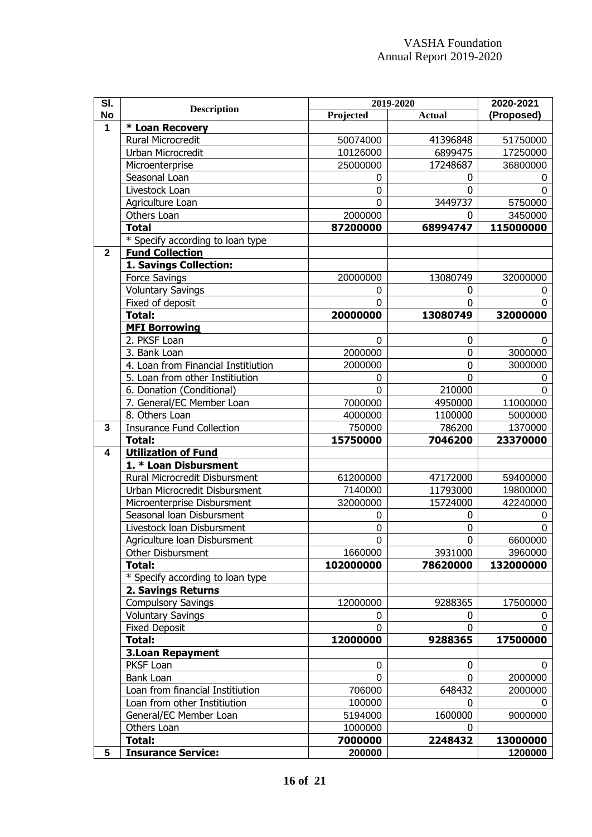| SI.          | <b>Description</b>                  | 2019-2020 |               | 2020-2021  |
|--------------|-------------------------------------|-----------|---------------|------------|
| <b>No</b>    |                                     | Projected | <b>Actual</b> | (Proposed) |
| 1            | * Loan Recovery                     |           |               |            |
|              | Rural Microcredit                   | 50074000  | 41396848      | 51750000   |
|              | Urban Microcredit                   | 10126000  | 6899475       | 17250000   |
|              | Microenterprise                     | 25000000  | 17248687      | 36800000   |
|              | Seasonal Loan                       | 0         | 0             | 0          |
|              | Livestock Loan                      | 0         | 0             | 0          |
|              | Agriculture Loan                    | $\Omega$  | 3449737       | 5750000    |
|              | Others Loan                         | 2000000   | 0             | 3450000    |
|              | <b>Total</b>                        | 87200000  | 68994747      | 115000000  |
|              | * Specify according to loan type    |           |               |            |
| $\mathbf{2}$ | <b>Fund Collection</b>              |           |               |            |
|              | 1. Savings Collection:              |           |               |            |
|              | Force Savings                       | 20000000  | 13080749      | 32000000   |
|              | <b>Voluntary Savings</b>            | 0         | 0             | 0          |
|              | Fixed of deposit                    | $\Omega$  | 0             | 0          |
|              | $\overline{\text{Total}}$ :         | 20000000  | 13080749      | 32000000   |
|              | <b>MFI Borrowing</b>                |           |               |            |
|              | 2. PKSF Loan                        | $\Omega$  | 0             | $\Omega$   |
|              | 3. Bank Loan                        | 2000000   | 0             | 3000000    |
|              | 4. Loan from Financial Institiution | 2000000   | 0             | 3000000    |
|              | 5. Loan from other Institiution     | 0         | 0             | 0          |
|              | 6. Donation (Conditional)           | $\Omega$  | 210000        | $\Omega$   |
|              | 7. General/EC Member Loan           | 7000000   | 4950000       | 11000000   |
|              | 8. Others Loan                      | 4000000   | 1100000       | 5000000    |
| 3            | <b>Insurance Fund Collection</b>    | 750000    | 786200        | 1370000    |
|              | <b>Total:</b>                       | 15750000  | 7046200       | 23370000   |
| 4            | <b>Utilization of Fund</b>          |           |               |            |
|              | 1. * Loan Disbursment               |           |               |            |
|              | Rural Microcredit Disbursment       | 61200000  | 47172000      | 59400000   |
|              | Urban Microcredit Disbursment       | 7140000   | 11793000      | 19800000   |
|              | Microenterprise Disbursment         | 32000000  | 15724000      | 42240000   |
|              | Seasonal loan Disbursment           | 0         | 0             | 0          |
|              | Livestock Ioan Disbursment          | 0         | 0             | 0          |
|              | Agriculture Ioan Disbursment        | $\Omega$  | 0             | 6600000    |
|              | Other Disbursment                   | 1660000   | 3931000       | 3960000    |
|              | Total:                              | 102000000 | 78620000      | 132000000  |
|              | * Specify according to loan type    |           |               |            |
|              | 2. Savings Returns                  |           |               |            |
|              | <b>Compulsory Savings</b>           | 12000000  | 9288365       | 17500000   |
|              | <b>Voluntary Savings</b>            | 0         | 0             | 0          |
|              | <b>Fixed Deposit</b>                | $\Omega$  | O             | 0          |
|              | Total:                              | 12000000  | 9288365       | 17500000   |
|              | <b>3.Loan Repayment</b>             |           |               |            |
|              | PKSF Loan                           | 0         | 0             | 0          |
|              | Bank Loan                           | $\Omega$  | 0             | 2000000    |
|              | Loan from financial Institiution    | 706000    | 648432        | 2000000    |
|              | Loan from other Institiution        | 100000    | 0             | 0          |
|              | General/EC Member Loan              | 5194000   | 1600000       | 9000000    |
|              | Others Loan                         | 1000000   | 0             |            |
|              | Total:                              | 7000000   | 2248432       | 13000000   |
| 5            | <b>Insurance Service:</b>           | 200000    |               | 1200000    |
|              |                                     |           |               |            |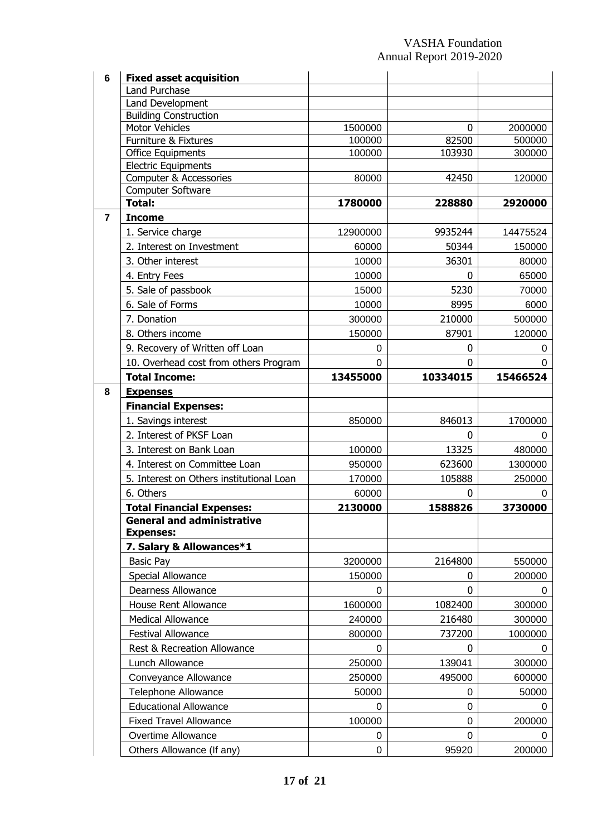| 6              | <b>Fixed asset acquisition</b>                |                  |                 |                  |
|----------------|-----------------------------------------------|------------------|-----------------|------------------|
|                | Land Purchase                                 |                  |                 |                  |
|                | Land Development                              |                  |                 |                  |
|                | <b>Building Construction</b>                  |                  |                 |                  |
|                | <b>Motor Vehicles</b><br>Furniture & Fixtures | 1500000          | 0               | 2000000          |
|                | Office Equipments                             | 100000<br>100000 | 82500<br>103930 | 500000<br>300000 |
|                | <b>Electric Equipments</b>                    |                  |                 |                  |
|                | Computer & Accessories                        | 80000            | 42450           | 120000           |
|                | Computer Software                             |                  |                 |                  |
|                | <b>Total:</b>                                 | 1780000          | 228880          | 2920000          |
| $\overline{7}$ | <b>Income</b>                                 |                  |                 |                  |
|                | 1. Service charge                             | 12900000         | 9935244         | 14475524         |
|                | 2. Interest on Investment                     | 60000            | 50344           | 150000           |
|                | 3. Other interest                             | 10000            | 36301           | 80000            |
|                | 4. Entry Fees                                 | 10000            | 0               | 65000            |
|                | 5. Sale of passbook                           | 15000            | 5230            | 70000            |
|                | 6. Sale of Forms                              | 10000            | 8995            | 6000             |
|                | 7. Donation                                   | 300000           | 210000          | 500000           |
|                | 8. Others income                              | 150000           | 87901           | 120000           |
|                | 9. Recovery of Written off Loan               | 0                | 0               | 0                |
|                | 10. Overhead cost from others Program         | 0                | 0               | 0                |
|                | <b>Total Income:</b>                          | 13455000         | 10334015        | 15466524         |
| 8              | <b>Expenses</b>                               |                  |                 |                  |
|                | <b>Financial Expenses:</b>                    |                  |                 |                  |
|                | 1. Savings interest                           | 850000           | 846013          | 1700000          |
|                | 2. Interest of PKSF Loan                      |                  | 0               | 0                |
|                | 3. Interest on Bank Loan                      | 100000           | 13325           | 480000           |
|                | 4. Interest on Committee Loan                 | 950000           | 623600          | 1300000          |
|                | 5. Interest on Others institutional Loan      | 170000           | 105888          | 250000           |
|                | 6. Others                                     | 60000            | 0               | 0                |
|                | <b>Total Financial Expenses:</b>              | 2130000          | 1588826         | 3730000          |
|                | <b>General and administrative</b>             |                  |                 |                  |
|                | <b>Expenses:</b>                              |                  |                 |                  |
|                | 7. Salary & Allowances*1                      |                  |                 |                  |
|                | <b>Basic Pay</b>                              | 3200000          | 2164800         | 550000           |
|                | Special Allowance                             | 150000           | 0               | 200000           |
|                | <b>Dearness Allowance</b>                     | 0                | 0               | 0                |
|                | House Rent Allowance                          | 1600000          | 1082400         | 300000           |
|                | <b>Medical Allowance</b>                      | 240000           | 216480          | 300000           |
|                | Festival Allowance                            | 800000           | 737200          | 1000000          |
|                | Rest & Recreation Allowance                   | 0                | 0               | 0                |
|                | Lunch Allowance                               | 250000           | 139041          | 300000           |
|                | Conveyance Allowance                          | 250000           | 495000          | 600000           |
|                | <b>Telephone Allowance</b>                    | 50000            | 0               | 50000            |
|                | <b>Educational Allowance</b>                  | 0                | 0               | 0                |
|                | <b>Fixed Travel Allowance</b>                 | 100000           | 0               | 200000           |
|                | Overtime Allowance                            | 0                | 0               | 0                |
|                | Others Allowance (If any)                     | 0                | 95920           | 200000           |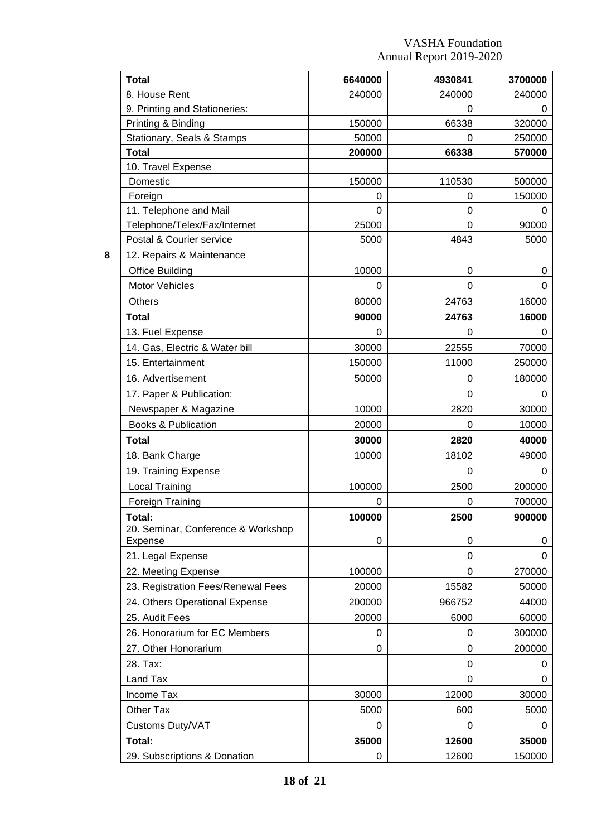|   | <b>Total</b>                       | 6640000 | 4930841  | 3700000 |
|---|------------------------------------|---------|----------|---------|
|   | 8. House Rent                      | 240000  | 240000   | 240000  |
|   | 9. Printing and Stationeries:      |         | 0        | O       |
|   | Printing & Binding                 | 150000  | 66338    | 320000  |
|   | Stationary, Seals & Stamps         | 50000   | 0        | 250000  |
|   | <b>Total</b>                       | 200000  | 66338    | 570000  |
|   | 10. Travel Expense                 |         |          |         |
|   | Domestic                           | 150000  | 110530   | 500000  |
|   | Foreign                            | 0       | 0        | 150000  |
|   | 11. Telephone and Mail             | 0       | $\Omega$ |         |
|   | Telephone/Telex/Fax/Internet       | 25000   | $\Omega$ | 90000   |
|   | Postal & Courier service           | 5000    | 4843     | 5000    |
| 8 | 12. Repairs & Maintenance          |         |          |         |
|   | <b>Office Building</b>             | 10000   | $\Omega$ | 0       |
|   | <b>Motor Vehicles</b>              | 0       | 0        | 0       |
|   | <b>Others</b>                      | 80000   | 24763    | 16000   |
|   | <b>Total</b>                       | 90000   | 24763    | 16000   |
|   | 13. Fuel Expense                   | 0       | 0        | 0       |
|   | 14. Gas, Electric & Water bill     | 30000   | 22555    | 70000   |
|   | 15. Entertainment                  | 150000  | 11000    | 250000  |
|   | 16. Advertisement                  | 50000   | 0        | 180000  |
|   | 17. Paper & Publication:           |         | 0        | O       |
|   | Newspaper & Magazine               | 10000   | 2820     | 30000   |
|   | <b>Books &amp; Publication</b>     | 20000   | 0        | 10000   |
|   | <b>Total</b>                       | 30000   | 2820     | 40000   |
|   | 18. Bank Charge                    | 10000   | 18102    | 49000   |
|   | 19. Training Expense               |         | 0        |         |
|   | <b>Local Training</b>              | 100000  | 2500     | 200000  |
|   | Foreign Training                   | 0       | 0        | 700000  |
|   | Total:                             | 100000  | 2500     | 900000  |
|   | 20. Seminar, Conference & Workshop |         |          |         |
|   | Expense                            | 0       | 0        | 0       |
|   | 21. Legal Expense                  |         | 0        | O       |
|   | 22. Meeting Expense                | 100000  | $\Omega$ | 270000  |
|   | 23. Registration Fees/Renewal Fees | 20000   | 15582    | 50000   |
|   | 24. Others Operational Expense     | 200000  | 966752   | 44000   |
|   | 25. Audit Fees                     | 20000   | 6000     | 60000   |
|   | 26. Honorarium for EC Members      | 0       | 0        | 300000  |
|   | 27. Other Honorarium               | 0       | $\Omega$ | 200000  |
|   | 28. Tax:                           |         | 0        | 0       |
|   | Land Tax                           |         | 0        |         |
|   | Income Tax                         | 30000   | 12000    | 30000   |
|   | Other Tax                          | 5000    | 600      | 5000    |
|   | Customs Duty/VAT                   | 0       | 0        |         |
|   | Total:                             | 35000   | 12600    | 35000   |
|   | 29. Subscriptions & Donation       | 0       | 12600    | 150000  |
|   |                                    |         |          |         |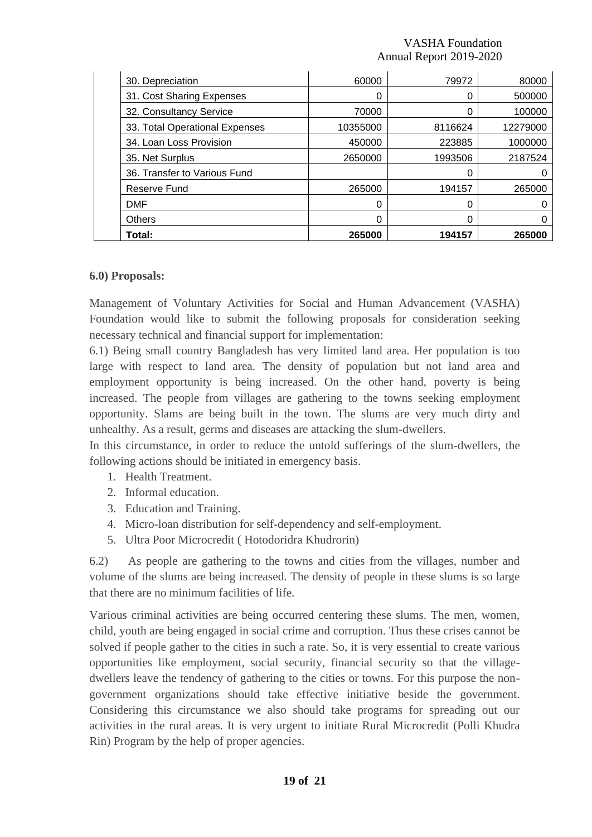| 30. Depreciation          |                                | 60000    | 79972   | 80000    |
|---------------------------|--------------------------------|----------|---------|----------|
| 31. Cost Sharing Expenses |                                | 0        | 0       | 500000   |
| 32. Consultancy Service   |                                | 70000    | 0       | 100000   |
|                           | 33. Total Operational Expenses | 10355000 | 8116624 | 12279000 |
| 34. Loan Loss Provision   |                                | 450000   | 223885  | 1000000  |
| 35. Net Surplus           |                                | 2650000  | 1993506 | 2187524  |
|                           | 36. Transfer to Various Fund   |          | 0       |          |
| Reserve Fund              |                                | 265000   | 194157  | 265000   |
| <b>DMF</b>                |                                | 0        | 0       | 0        |
| <b>Others</b>             |                                | 0        | 0       |          |
| Total:                    |                                | 265000   | 194157  | 265000   |

#### **6.0) Proposals:**

Management of Voluntary Activities for Social and Human Advancement (VASHA) Foundation would like to submit the following proposals for consideration seeking necessary technical and financial support for implementation:

6.1) Being small country Bangladesh has very limited land area. Her population is too large with respect to land area. The density of population but not land area and employment opportunity is being increased. On the other hand, poverty is being increased. The people from villages are gathering to the towns seeking employment opportunity. Slams are being built in the town. The slums are very much dirty and unhealthy. As a result, germs and diseases are attacking the slum-dwellers.

In this circumstance, in order to reduce the untold sufferings of the slum-dwellers, the following actions should be initiated in emergency basis.

- 1. Health Treatment.
- 2. Informal education.
- 3. Education and Training.
- 4. Micro-loan distribution for self-dependency and self-employment.
- 5. Ultra Poor Microcredit ( Hotodoridra Khudrorin)

6.2) As people are gathering to the towns and cities from the villages, number and volume of the slums are being increased. The density of people in these slums is so large that there are no minimum facilities of life.

Various criminal activities are being occurred centering these slums. The men, women, child, youth are being engaged in social crime and corruption. Thus these crises cannot be solved if people gather to the cities in such a rate. So, it is very essential to create various opportunities like employment, social security, financial security so that the villagedwellers leave the tendency of gathering to the cities or towns. For this purpose the nongovernment organizations should take effective initiative beside the government. Considering this circumstance we also should take programs for spreading out our activities in the rural areas. It is very urgent to initiate Rural Microcredit (Polli Khudra Rin) Program by the help of proper agencies.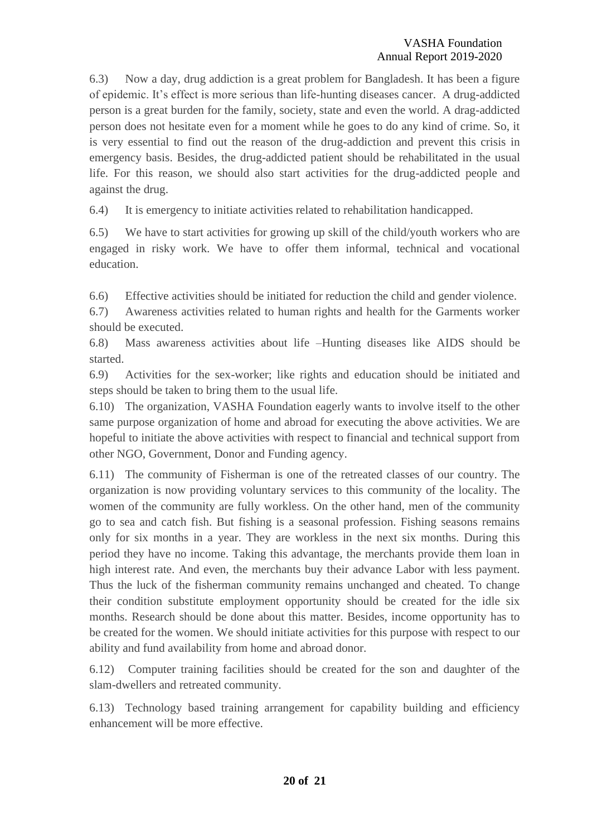6.3) Now a day, drug addiction is a great problem for Bangladesh. It has been a figure of epidemic. It's effect is more serious than life-hunting diseases cancer. A drug-addicted person is a great burden for the family, society, state and even the world. A drag-addicted person does not hesitate even for a moment while he goes to do any kind of crime. So, it is very essential to find out the reason of the drug-addiction and prevent this crisis in emergency basis. Besides, the drug-addicted patient should be rehabilitated in the usual life. For this reason, we should also start activities for the drug-addicted people and against the drug.

6.4) It is emergency to initiate activities related to rehabilitation handicapped.

6.5) We have to start activities for growing up skill of the child/youth workers who are engaged in risky work. We have to offer them informal, technical and vocational education.

6.6) Effective activities should be initiated for reduction the child and gender violence.

6.7) Awareness activities related to human rights and health for the Garments worker should be executed.

6.8) Mass awareness activities about life –Hunting diseases like AIDS should be started.

6.9) Activities for the sex-worker; like rights and education should be initiated and steps should be taken to bring them to the usual life.

6.10) The organization, VASHA Foundation eagerly wants to involve itself to the other same purpose organization of home and abroad for executing the above activities. We are hopeful to initiate the above activities with respect to financial and technical support from other NGO, Government, Donor and Funding agency.

6.11) The community of Fisherman is one of the retreated classes of our country. The organization is now providing voluntary services to this community of the locality. The women of the community are fully workless. On the other hand, men of the community go to sea and catch fish. But fishing is a seasonal profession. Fishing seasons remains only for six months in a year. They are workless in the next six months. During this period they have no income. Taking this advantage, the merchants provide them loan in high interest rate. And even, the merchants buy their advance Labor with less payment. Thus the luck of the fisherman community remains unchanged and cheated. To change their condition substitute employment opportunity should be created for the idle six months. Research should be done about this matter. Besides, income opportunity has to be created for the women. We should initiate activities for this purpose with respect to our ability and fund availability from home and abroad donor.

6.12) Computer training facilities should be created for the son and daughter of the slam-dwellers and retreated community.

6.13) Technology based training arrangement for capability building and efficiency enhancement will be more effective.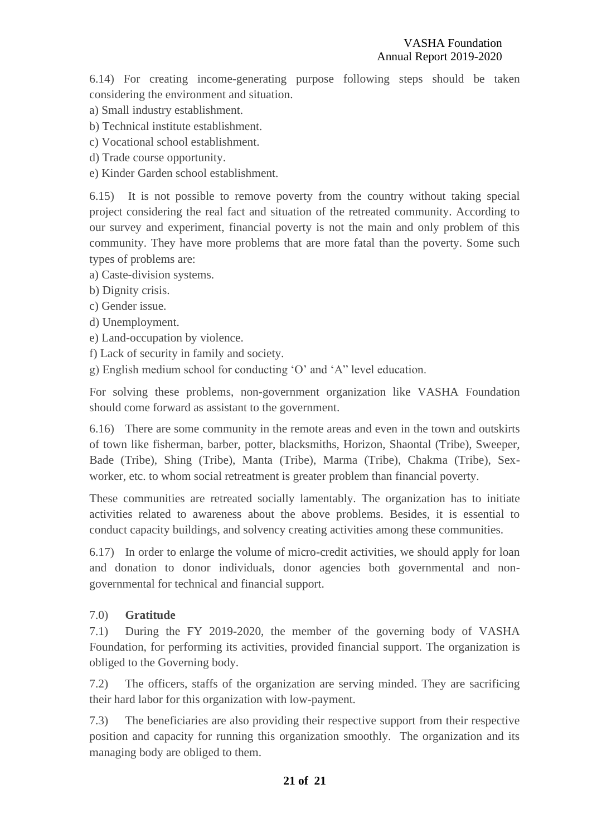6.14) For creating income-generating purpose following steps should be taken considering the environment and situation.

- a) Small industry establishment.
- b) Technical institute establishment.
- c) Vocational school establishment.
- d) Trade course opportunity.
- e) Kinder Garden school establishment.

6.15) It is not possible to remove poverty from the country without taking special project considering the real fact and situation of the retreated community. According to our survey and experiment, financial poverty is not the main and only problem of this community. They have more problems that are more fatal than the poverty. Some such types of problems are:

- a) Caste-division systems.
- b) Dignity crisis.
- c) Gender issue.
- d) Unemployment.
- e) Land-occupation by violence.
- f) Lack of security in family and society.
- g) English medium school for conducting 'O' and 'A" level education.

For solving these problems, non-government organization like VASHA Foundation should come forward as assistant to the government.

6.16) There are some community in the remote areas and even in the town and outskirts of town like fisherman, barber, potter, blacksmiths, Horizon, Shaontal (Tribe), Sweeper, Bade (Tribe), Shing (Tribe), Manta (Tribe), Marma (Tribe), Chakma (Tribe), Sexworker, etc. to whom social retreatment is greater problem than financial poverty.

These communities are retreated socially lamentably. The organization has to initiate activities related to awareness about the above problems. Besides, it is essential to conduct capacity buildings, and solvency creating activities among these communities.

6.17) In order to enlarge the volume of micro-credit activities, we should apply for loan and donation to donor individuals, donor agencies both governmental and nongovernmental for technical and financial support.

#### 7.0) **Gratitude**

7.1) During the FY 2019-2020, the member of the governing body of VASHA Foundation, for performing its activities, provided financial support. The organization is obliged to the Governing body.

7.2) The officers, staffs of the organization are serving minded. They are sacrificing their hard labor for this organization with low-payment.

7.3) The beneficiaries are also providing their respective support from their respective position and capacity for running this organization smoothly. The organization and its managing body are obliged to them.